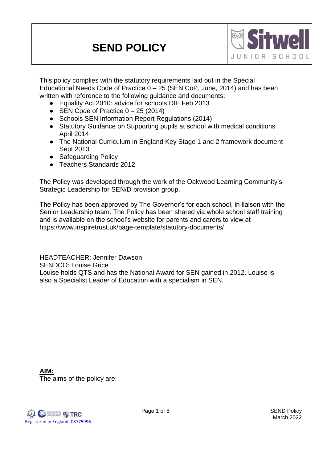# **SEND POLICY**



This policy complies with the statutory requirements laid out in the Special Educational Needs Code of Practice  $0 - 25$  (SEN CoP, June, 2014) and has been written with reference to the following guidance and documents:

- Equality Act 2010: advice for schools DfE Feb 2013
- SEN Code of Practice  $0 25$  (2014)
- Schools SEN Information Report Regulations (2014)
- Statutory Guidance on Supporting pupils at school with medical conditions April 2014
- The National Curriculum in England Key Stage 1 and 2 framework document Sept 2013
- Safeguarding Policy
- Teachers Standards 2012

The Policy was developed through the work of the Oakwood Learning Community's Strategic Leadership for SEN/D provision group.

The Policy has been approved by The Governor's for each school, in liaison with the Senior Leadership team. The Policy has been shared via whole school staff training and is available on the school's website for parents and carers to view at https://www.inspiretrust.uk/page-template/statutory-documents/

HEADTEACHER: Jennifer Dawson SENDCO: Louise Grice Louise holds QTS and has the National Award for SEN gained in 2012. Louise is also a Specialist Leader of Education with a specialism in SEN.

**AIM:** The aims of the policy are:

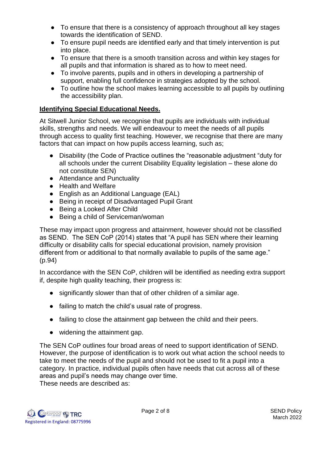- To ensure that there is a consistency of approach throughout all key stages towards the identification of SEND.
- To ensure pupil needs are identified early and that timely intervention is put into place.
- To ensure that there is a smooth transition across and within key stages for all pupils and that information is shared as to how to meet need.
- To involve parents, pupils and in others in developing a partnership of support, enabling full confidence in strategies adopted by the school.
- To outline how the school makes learning accessible to all pupils by outlining the accessibility plan.

### **Identifying Special Educational Needs.**

At Sitwell Junior School, we recognise that pupils are individuals with individual skills, strengths and needs. We will endeavour to meet the needs of all pupils through access to quality first teaching. However, we recognise that there are many factors that can impact on how pupils access learning, such as;

- Disability (the Code of Practice outlines the "reasonable adjustment "duty for all schools under the current Disability Equality legislation – these alone do not constitute SEN)
- Attendance and Punctuality
- Health and Welfare
- English as an Additional Language (EAL)
- Being in receipt of Disadvantaged Pupil Grant
- Being a Looked After Child
- Being a child of Serviceman/woman

These may impact upon progress and attainment, however should not be classified as SEND. The SEN CoP (2014) states that "A pupil has SEN where their learning difficulty or disability calls for special educational provision, namely provision different from or additional to that normally available to pupils of the same age." (p.94)

In accordance with the SEN CoP, children will be identified as needing extra support if, despite high quality teaching, their progress is:

- significantly slower than that of other children of a similar age.
- failing to match the child's usual rate of progress.
- failing to close the attainment gap between the child and their peers.
- widening the attainment gap.

The SEN CoP outlines four broad areas of need to support identification of SEND. However, the purpose of identification is to work out what action the school needs to take to meet the needs of the pupil and should not be used to fit a pupil into a category. In practice, individual pupils often have needs that cut across all of these areas and pupil's needs may change over time. These needs are described as:

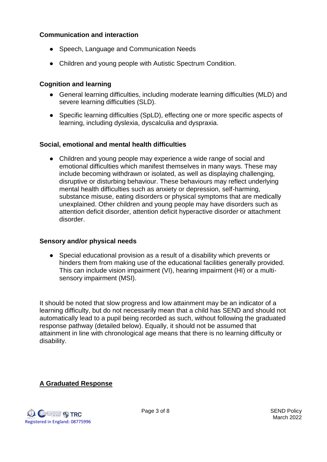#### **Communication and interaction**

- Speech, Language and Communication Needs
- Children and young people with Autistic Spectrum Condition.

#### **Cognition and learning**

- General learning difficulties, including moderate learning difficulties (MLD) and severe learning difficulties (SLD).
- Specific learning difficulties (SpLD), effecting one or more specific aspects of learning, including dyslexia, dyscalculia and dyspraxia.

#### **Social, emotional and mental health difficulties**

• Children and young people may experience a wide range of social and emotional difficulties which manifest themselves in many ways. These may include becoming withdrawn or isolated, as well as displaying challenging, disruptive or disturbing behaviour. These behaviours may reflect underlying mental health difficulties such as anxiety or depression, self-harming, substance misuse, eating disorders or physical symptoms that are medically unexplained. Other children and young people may have disorders such as attention deficit disorder, attention deficit hyperactive disorder or attachment disorder.

#### **Sensory and/or physical needs**

● Special educational provision as a result of a disability which prevents or hinders them from making use of the educational facilities generally provided. This can include vision impairment (VI), hearing impairment (HI) or a multisensory impairment (MSI).

It should be noted that slow progress and low attainment may be an indicator of a learning difficulty, but do not necessarily mean that a child has SEND and should not automatically lead to a pupil being recorded as such, without following the graduated response pathway (detailed below). Equally, it should not be assumed that attainment in line with chronological age means that there is no learning difficulty or disability.

#### **A Graduated Response**

**Cakwood P. TRC** Registered in England: 08775996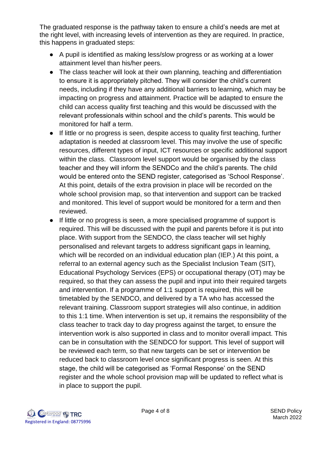The graduated response is the pathway taken to ensure a child's needs are met at the right level, with increasing levels of intervention as they are required. In practice, this happens in graduated steps:

- A pupil is identified as making less/slow progress or as working at a lower attainment level than his/her peers.
- The class teacher will look at their own planning, teaching and differentiation to ensure it is appropriately pitched. They will consider the child's current needs, including if they have any additional barriers to learning, which may be impacting on progress and attainment. Practice will be adapted to ensure the child can access quality first teaching and this would be discussed with the relevant professionals within school and the child's parents. This would be monitored for half a term.
- If little or no progress is seen, despite access to quality first teaching, further adaptation is needed at classroom level. This may involve the use of specific resources, different types of input, ICT resources or specific additional support within the class. Classroom level support would be organised by the class teacher and they will inform the SENDCo and the child's parents. The child would be entered onto the SEND register, categorised as 'School Response'. At this point, details of the extra provision in place will be recorded on the whole school provision map, so that intervention and support can be tracked and monitored. This level of support would be monitored for a term and then reviewed.
- If little or no progress is seen, a more specialised programme of support is required. This will be discussed with the pupil and parents before it is put into place. With support from the SENDCO, the class teacher will set highly personalised and relevant targets to address significant gaps in learning, which will be recorded on an individual education plan (IEP.) At this point, a referral to an external agency such as the Specialist Inclusion Team (SIT), Educational Psychology Services (EPS) or occupational therapy (OT) may be required, so that they can assess the pupil and input into their required targets and intervention. If a programme of 1:1 support is required, this will be timetabled by the SENDCO, and delivered by a TA who has accessed the relevant training. Classroom support strategies will also continue, in addition to this 1:1 time. When intervention is set up, it remains the responsibility of the class teacher to track day to day progress against the target, to ensure the intervention work is also supported in class and to monitor overall impact. This can be in consultation with the SENDCO for support. This level of support will be reviewed each term, so that new targets can be set or intervention be reduced back to classroom level once significant progress is seen. At this stage, the child will be categorised as 'Formal Response' on the SEND register and the whole school provision map will be updated to reflect what is in place to support the pupil.

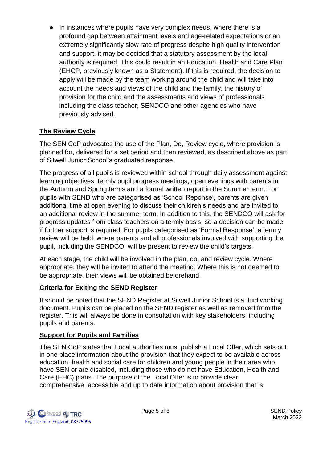● In instances where pupils have very complex needs, where there is a profound gap between attainment levels and age-related expectations or an extremely significantly slow rate of progress despite high quality intervention and support, it may be decided that a statutory assessment by the local authority is required. This could result in an Education, Health and Care Plan (EHCP, previously known as a Statement). If this is required, the decision to apply will be made by the team working around the child and will take into account the needs and views of the child and the family, the history of provision for the child and the assessments and views of professionals including the class teacher, SENDCO and other agencies who have previously advised.

# **The Review Cycle**

The SEN CoP advocates the use of the Plan, Do, Review cycle, where provision is planned for, delivered for a set period and then reviewed, as described above as part of Sitwell Junior School's graduated response.

The progress of all pupils is reviewed within school through daily assessment against learning objectives, termly pupil progress meetings, open evenings with parents in the Autumn and Spring terms and a formal written report in the Summer term. For pupils with SEND who are categorised as 'School Reponse', parents are given additional time at open evening to discuss their children's needs and are invited to an additional review in the summer term. In addition to this, the SENDCO will ask for progress updates from class teachers on a termly basis, so a decision can be made if further support is required. For pupils categorised as 'Formal Response', a termly review will be held, where parents and all professionals involved with supporting the pupil, including the SENDCO, will be present to review the child's targets.

At each stage, the child will be involved in the plan, do, and review cycle. Where appropriate, they will be invited to attend the meeting. Where this is not deemed to be appropriate, their views will be obtained beforehand.

# **Criteria for Exiting the SEND Register**

It should be noted that the SEND Register at Sitwell Junior School is a fluid working document. Pupils can be placed on the SEND register as well as removed from the register. This will always be done in consultation with key stakeholders, including pupils and parents.

# **Support for Pupils and Families**

The SEN CoP states that Local authorities must publish a Local Offer, which sets out in one place information about the provision that they expect to be available across education, health and social care for children and young people in their area who have SEN or are disabled, including those who do not have Education, Health and Care (EHC) plans. The purpose of the Local Offer is to provide clear, comprehensive, accessible and up to date information about provision that is

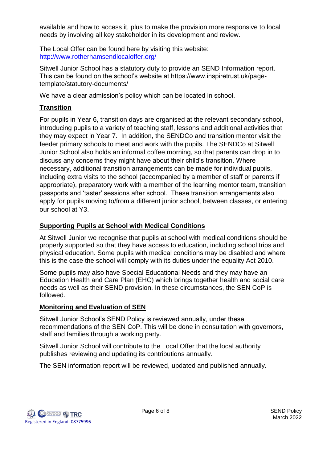available and how to access it, plus to make the provision more responsive to local needs by involving all key stakeholder in its development and review.

The Local Offer can be found here by visiting this website: <http://www.rotherhamsendlocaloffer.org/>

Sitwell Junior School has a statutory duty to provide an SEND Information report. This can be found on the school's website at https://www.inspiretrust.uk/pagetemplate/statutory-documents/

We have a clear admission's policy which can be located in school.

# **Transition**

For pupils in Year 6, transition days are organised at the relevant secondary school, introducing pupils to a variety of teaching staff, lessons and additional activities that they may expect in Year 7. In addition, the SENDCo and transition mentor visit the feeder primary schools to meet and work with the pupils. The SENDCo at Sitwell Junior School also holds an informal coffee morning, so that parents can drop in to discuss any concerns they might have about their child's transition. Where necessary, additional transition arrangements can be made for individual pupils, including extra visits to the school (accompanied by a member of staff or parents if appropriate), preparatory work with a member of the learning mentor team, transition passports and 'taster' sessions after school. These transition arrangements also apply for pupils moving to/from a different junior school, between classes, or entering our school at Y3.

# **Supporting Pupils at School with Medical Conditions**

At Sitwell Junior we recognise that pupils at school with medical conditions should be properly supported so that they have access to education, including school trips and physical education. Some pupils with medical conditions may be disabled and where this is the case the school will comply with its duties under the equality Act 2010.

Some pupils may also have Special Educational Needs and they may have an Education Health and Care Plan (EHC) which brings together health and social care needs as well as their SEND provision. In these circumstances, the SEN CoP is followed.

# **Monitoring and Evaluation of SEN**

Sitwell Junior School's SEND Policy is reviewed annually, under these recommendations of the SEN CoP. This will be done in consultation with governors, staff and families through a working party.

Sitwell Junior School will contribute to the Local Offer that the local authority publishes reviewing and updating its contributions annually.

The SEN information report will be reviewed, updated and published annually.

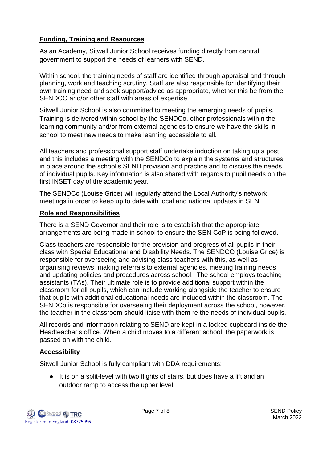### **Funding, Training and Resources**

As an Academy, Sitwell Junior School receives funding directly from central government to support the needs of learners with SEND.

Within school, the training needs of staff are identified through appraisal and through planning, work and teaching scrutiny. Staff are also responsible for identifying their own training need and seek support/advice as appropriate, whether this be from the SENDCO and/or other staff with areas of expertise.

Sitwell Junior School is also committed to meeting the emerging needs of pupils. Training is delivered within school by the SENDCo, other professionals within the learning community and/or from external agencies to ensure we have the skills in school to meet new needs to make learning accessible to all.

All teachers and professional support staff undertake induction on taking up a post and this includes a meeting with the SENDCo to explain the systems and structures in place around the school's SEND provision and practice and to discuss the needs of individual pupils. Key information is also shared with regards to pupil needs on the first INSET day of the academic year.

The SENDCo (Louise Grice) will regularly attend the Local Authority's network meetings in order to keep up to date with local and national updates in SEN.

#### **Role and Responsibilities**

There is a SEND Governor and their role is to establish that the appropriate arrangements are being made in school to ensure the SEN CoP is being followed.

Class teachers are responsible for the provision and progress of all pupils in their class with Special Educational and Disability Needs. The SENDCO (Louise Grice) is responsible for overseeing and advising class teachers with this, as well as organising reviews, making referrals to external agencies, meeting training needs and updating policies and procedures across school. The school employs teaching assistants (TAs). Their ultimate role is to provide additional support within the classroom for all pupils, which can include working alongside the teacher to ensure that pupils with additional educational needs are included within the classroom. The SENDCo is responsible for overseeing their deployment across the school, however, the teacher in the classroom should liaise with them re the needs of individual pupils.

All records and information relating to SEND are kept in a locked cupboard inside the Headteacher's office. When a child moves to a different school, the paperwork is passed on with the child.

#### **Accessibility**

Sitwell Junior School is fully compliant with DDA requirements:

● It is on a split-level with two flights of stairs, but does have a lift and an outdoor ramp to access the upper level.